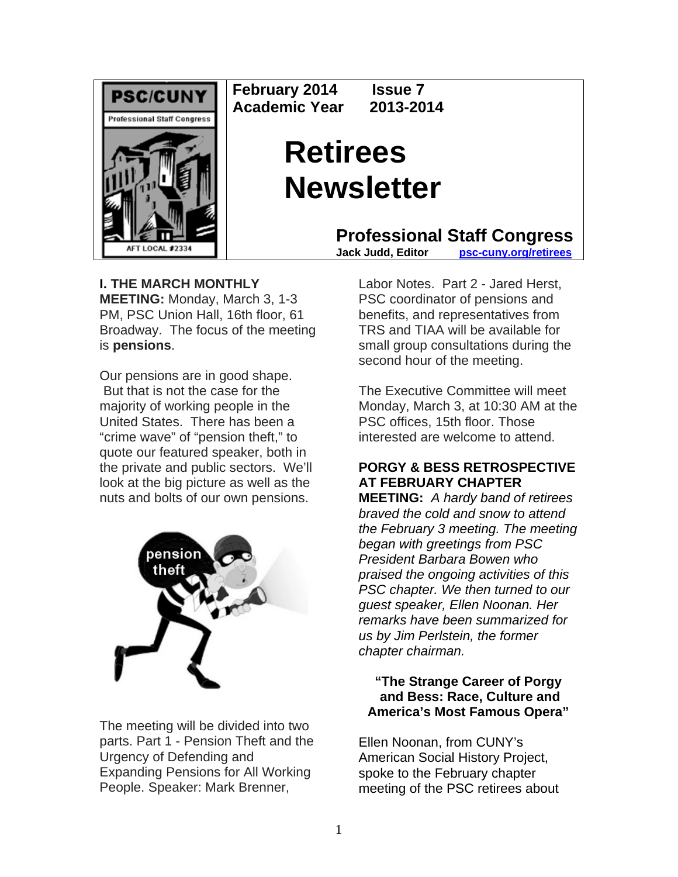

**February 2014 Issue 7 Academic Year 2013-2014** 

# **Retirees Newsletter**

**Professional Staff Congress**<br>Jack Judd. Editor psc-cuny.org/retirees

**psc-cuny.org/retirees** 

# **I. THE MARCH MONTHLY**

**MEETING:** Monday, March 3, 1-3 PM, PSC Union Hall, 16th floor, 61 Broadway. The focus of the meeting is **pensions**.

Our pensions are in good shape. But that is not the case for the majority of working people in the United States. There has been a "crime wave" of "pension theft," to quote our featured speaker, both in the private and public sectors. We'll look at the big picture as well as the nuts and bolts of our own pensions.



The meeting will be divided into two parts. Part 1 - Pension Theft and the Urgency of Defending and Expanding Pensions for All Working People. Speaker: Mark Brenner,

Labor Notes. Part 2 - Jared Herst, PSC coordinator of pensions and benefits, and representatives from TRS and TIAA will be available for small group consultations during the second hour of the meeting.

The Executive Committee will meet Monday, March 3, at 10:30 AM at the PSC offices, 15th floor. Those interested are welcome to attend.

# **PORGY & BESS RETROSPECTIVE AT FEBRUARY CHAPTER**

**MEETING:** *A hardy band of retirees braved the cold and snow to attend the February 3 meeting. The meeting began with greetings from PSC President Barbara Bowen who praised the ongoing activities of this PSC chapter. We then turned to our guest speaker, Ellen Noonan. Her remarks have been summarized for us by Jim Perlstein, the former chapter chairman.* 

# **"The Strange Career of Porgy and Bess: Race, Culture and America's Most Famous Opera"**

Ellen Noonan, from CUNY's American Social History Project, spoke to the February chapter meeting of the PSC retirees about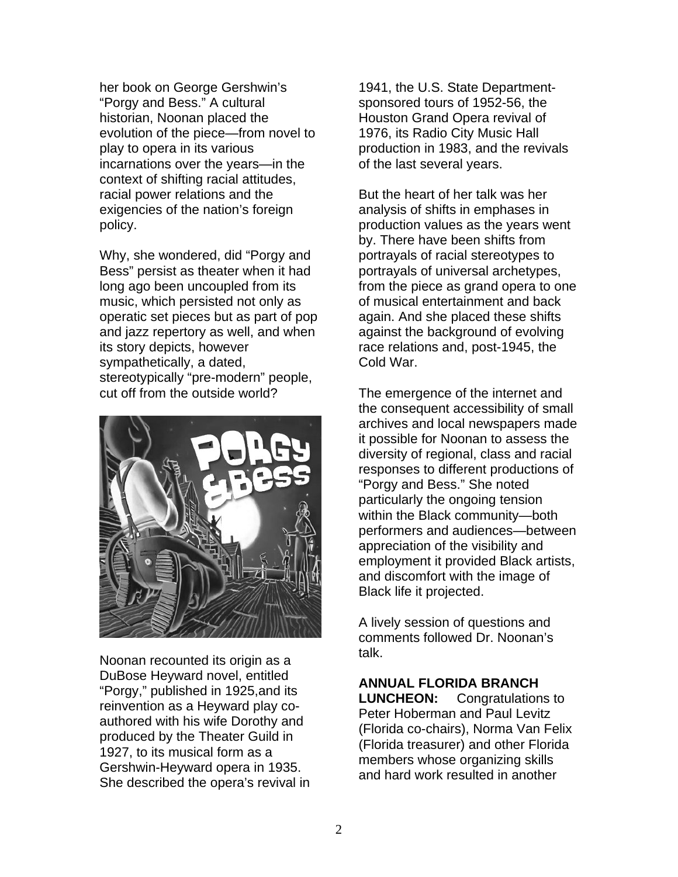her book on George Gershwin's "Porgy and Bess." A cultural historian, Noonan placed the evolution of the piece—from novel to play to opera in its various incarnations over the years—in the context of shifting racial attitudes, racial power relations and the exigencies of the nation's foreign policy.

Why, she wondered, did "Porgy and Bess" persist as theater when it had long ago been uncoupled from its music, which persisted not only as operatic set pieces but as part of pop and jazz repertory as well, and when its story depicts, however sympathetically, a dated, stereotypically "pre-modern" people, cut off from the outside world?



Noonan recounted its origin as a DuBose Heyward novel, entitled "Porgy," published in 1925,and its reinvention as a Heyward play coauthored with his wife Dorothy and produced by the Theater Guild in 1927, to its musical form as a Gershwin-Heyward opera in 1935. She described the opera's revival in 1941, the U.S. State Departmentsponsored tours of 1952-56, the Houston Grand Opera revival of 1976, its Radio City Music Hall production in 1983, and the revivals of the last several years.

But the heart of her talk was her analysis of shifts in emphases in production values as the years went by. There have been shifts from portrayals of racial stereotypes to portrayals of universal archetypes, from the piece as grand opera to one of musical entertainment and back again. And she placed these shifts against the background of evolving race relations and, post-1945, the Cold War.

The emergence of the internet and the consequent accessibility of small archives and local newspapers made it possible for Noonan to assess the diversity of regional, class and racial responses to different productions of "Porgy and Bess." She noted particularly the ongoing tension within the Black community—both performers and audiences—between appreciation of the visibility and employment it provided Black artists, and discomfort with the image of Black life it projected.

A lively session of questions and comments followed Dr. Noonan's talk.

**ANNUAL FLORIDA BRANCH LUNCHEON:** Congratulations to Peter Hoberman and Paul Levitz (Florida co-chairs), Norma Van Felix (Florida treasurer) and other Florida members whose organizing skills and hard work resulted in another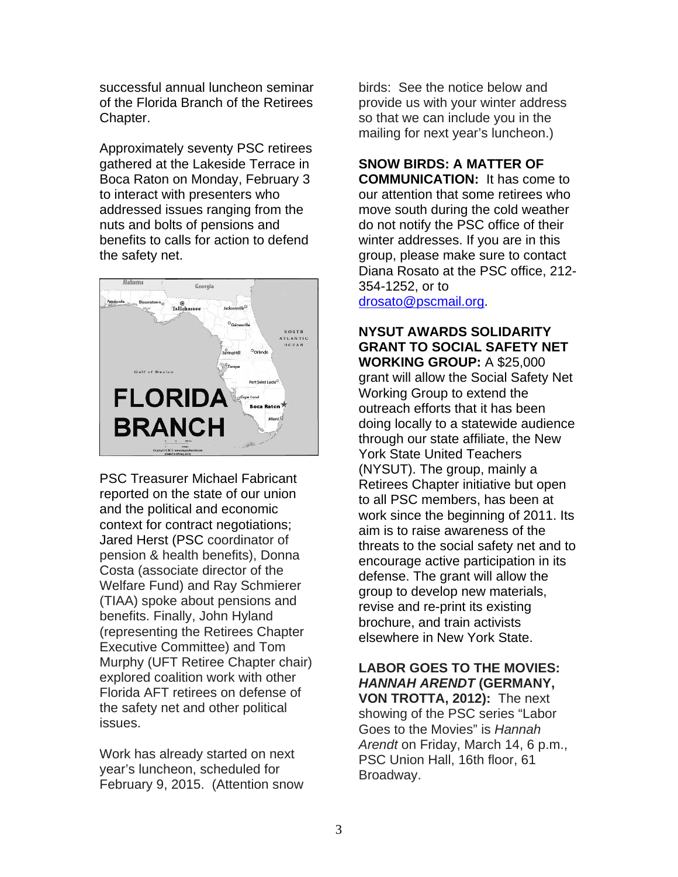successful annual luncheon seminar of the Florida Branch of the Retirees Chapter.

Approximately seventy PSC retirees gathered at the Lakeside Terrace in Boca Raton on Monday, February 3 to interact with presenters who addressed issues ranging from the nuts and bolts of pensions and benefits to calls for action to defend the safety net.



PSC Treasurer Michael Fabricant reported on the state of our union and the political and economic context for contract negotiations; Jared Herst (PSC coordinator of pension & health benefits), Donna Costa (associate director of the Welfare Fund) and Ray Schmierer (TIAA) spoke about pensions and benefits. Finally, John Hyland (representing the Retirees Chapter Executive Committee) and Tom Murphy (UFT Retiree Chapter chair) explored coalition work with other Florida AFT retirees on defense of the safety net and other political issues.

Work has already started on next year's luncheon, scheduled for February 9, 2015. (Attention snow birds: See the notice below and provide us with your winter address so that we can include you in the mailing for next year's luncheon.)

**SNOW BIRDS: A MATTER OF COMMUNICATION:** It has come to our attention that some retirees who move south during the cold weather do not notify the PSC office of their winter addresses. If you are in this group, please make sure to contact Diana Rosato at the PSC office, 212- 354-1252, or to drosato@pscmail.org.

#### **NYSUT AWARDS SOLIDARITY GRANT TO SOCIAL SAFETY NET WORKING GROUP:** A \$25,000 grant will allow the Social Safety Net Working Group to extend the outreach efforts that it has been doing locally to a statewide audience through our state affiliate, the New York State United Teachers (NYSUT). The group, mainly a Retirees Chapter initiative but open to all PSC members, has been at work since the beginning of 2011. Its aim is to raise awareness of the threats to the social safety net and to encourage active participation in its defense. The grant will allow the group to develop new materials, revise and re-print its existing brochure, and train activists elsewhere in New York State.

#### **LABOR GOES TO THE MOVIES:**  *HANNAH ARENDT* **(GERMANY, VON TROTTA, 2012):** The next showing of the PSC series "Labor Goes to the Movies" is *Hannah Arendt* on Friday, March 14, 6 p.m., PSC Union Hall, 16th floor, 61

Broadway.